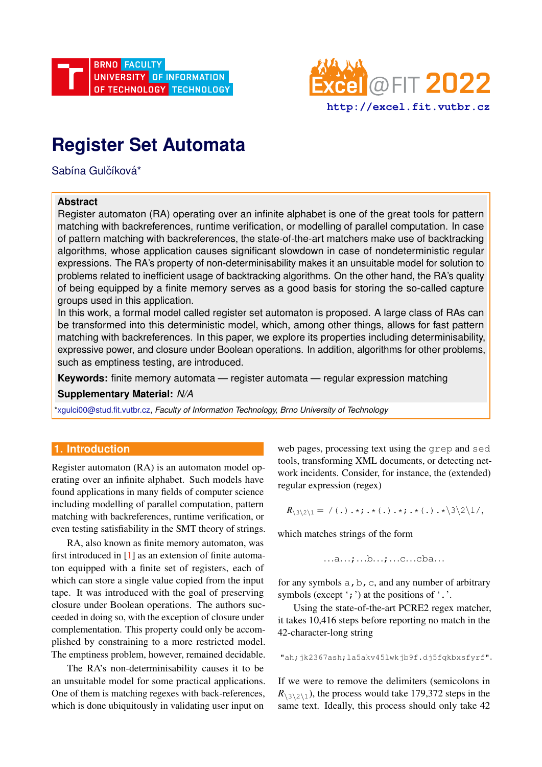



# **Register Set Automata**

Sabína Gulčíková\*

## **Abstract**

Register automaton (RA) operating over an infinite alphabet is one of the great tools for pattern matching with backreferences, runtime verification, or modelling of parallel computation. In case of pattern matching with backreferences, the state-of-the-art matchers make use of backtracking algorithms, whose application causes significant slowdown in case of nondeterministic regular expressions. The RA's property of non-determinisability makes it an unsuitable model for solution to problems related to inefficient usage of backtracking algorithms. On the other hand, the RA's quality of being equipped by a finite memory serves as a good basis for storing the so-called capture groups used in this application.

In this work, a formal model called register set automaton is proposed. A large class of RAs can be transformed into this deterministic model, which, among other things, allows for fast pattern matching with backreferences. In this paper, we explore its properties including determinisability, expressive power, and closure under Boolean operations. In addition, algorithms for other problems, such as emptiness testing, are introduced.

**Keywords:** finite memory automata — register automata — regular expression matching

**Supplementary Material:** *N/A*

[\\*xgulci00@stud.fit.vutbr.cz,](mailto:xgulci00@stud.fit.vutbr.cz) *Faculty of Information Technology, Brno University of Technology*

# **1. Introduction**

Register automaton (RA) is an automaton model operating over an infinite alphabet. Such models have found applications in many fields of computer science including modelling of parallel computation, pattern matching with backreferences, runtime verification, or even testing satisfiability in the SMT theory of strings.

RA, also known as finite memory automaton, was first introduced in [\[1\]](#page-5-0) as an extension of finite automaton equipped with a finite set of registers, each of which can store a single value copied from the input tape. It was introduced with the goal of preserving closure under Boolean operations. The authors succeeded in doing so, with the exception of closure under complementation. This property could only be accomplished by constraining to a more restricted model. The emptiness problem, however, remained decidable.

The RA's non-determinisability causes it to be an unsuitable model for some practical applications. One of them is matching regexes with back-references, which is done ubiquitously in validating user input on

web pages, processing text using the grep and sed tools, transforming XML documents, or detecting network incidents. Consider, for instance, the (extended) regular expression (regex)

 $R_{\{3\}2\} = /(.):$  \*; . \* (.).\*; . \* (.).\*\3\2\1/,

which matches strings of the form

...a...;...b...;...c...cba...

for any symbols  $a, b, c$ , and any number of arbitrary symbols (except  $\cdot$ ;  $\cdot$ ) at the positions of  $\cdot$ .

Using the state-of-the-art PCRE2 regex matcher, it takes 10,416 steps before reporting no match in the 42-character-long string

"ah;jk2367ash;la5akv45lwkjb9f.dj5fqkbxsfyrf".

If we were to remove the delimiters (semicolons in  $R_{\frac{3}{2}}$ , the process would take 179,372 steps in the same text. Ideally, this process should only take 42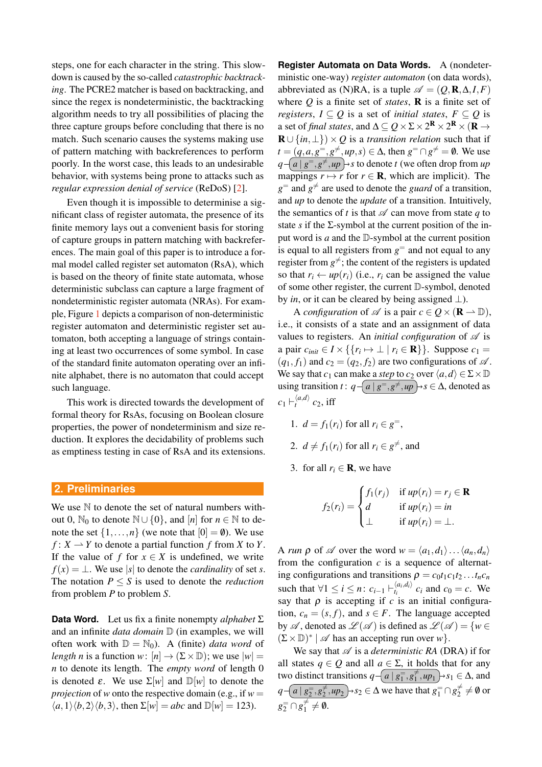steps, one for each character in the string. This slowdown is caused by the so-called *catastrophic backtracking*. The PCRE2 matcher is based on backtracking, and since the regex is nondeterministic, the backtracking algorithm needs to try all possibilities of placing the three capture groups before concluding that there is no match. Such scenario causes the systems making use of pattern matching with backreferences to perform poorly. In the worst case, this leads to an undesirable behavior, with systems being prone to attacks such as *regular expression denial of service* (ReDoS) [\[2\]](#page-5-1).

Even though it is impossible to determinise a significant class of register automata, the presence of its finite memory lays out a convenient basis for storing of capture groups in pattern matching with backreferences. The main goal of this paper is to introduce a formal model called register set automaton (RsA), which is based on the theory of finite state automata, whose deterministic subclass can capture a large fragment of nondeterministic register automata (NRAs). For example, Figure [1](#page-2-0) depicts a comparison of non-deterministic register automaton and deterministic register set automaton, both accepting a language of strings containing at least two occurrences of some symbol. In case of the standard finite automaton operating over an infinite alphabet, there is no automaton that could accept such language.

This work is directed towards the development of formal theory for RsAs, focusing on Boolean closure properties, the power of nondeterminism and size reduction. It explores the decidability of problems such as emptiness testing in case of RsA and its extensions.

#### **2. Preliminaries**

We use  $N$  to denote the set of natural numbers without 0,  $\mathbb{N}_0$  to denote  $\mathbb{N} \cup \{0\}$ , and  $[n]$  for  $n \in \mathbb{N}$  to denote the set  $\{1,\ldots,n\}$  (we note that  $[0] = \emptyset$ ). We use  $f: X \to Y$  to denote a partial function *f* from *X* to *Y*. If the value of *f* for  $x \in X$  is undefined, we write  $f(x) = \perp$ . We use |*s*| to denote the *cardinality* of set *s*. The notation  $P \leq S$  is used to denote the *reduction* from problem *P* to problem *S*.

**Data Word.** Let us fix a finite nonempty *alphabet* Σ and an infinite *data domain*  $D$  (in examples, we will often work with  $\mathbb{D} = \mathbb{N}_0$ ). A (finite) *data word* of *length n* is a function *w*:  $[n] \rightarrow (\Sigma \times \mathbb{D})$ ; we use  $|w|$ *n* to denote its length. The *empty word* of length 0 is denoted  $\varepsilon$ . We use  $\Sigma[w]$  and  $\mathbb{D}[w]$  to denote the *projection* of *w* onto the respective domain (e.g., if  $w =$  $\langle a,1\rangle \langle b,2\rangle \langle b,3\rangle$ , then  $\Sigma[w] = abc$  and  $\mathbb{D}[w] = 123$ ).

**Register Automata on Data Words.** A (nondeterministic one-way) *register automaton* (on data words), abbreviated as (N)RA, is a tuple  $\mathscr{A} = (Q, \mathbf{R}, \Delta, I, F)$ where *Q* is a finite set of *states*, R is a finite set of *registers*,  $I \subseteq Q$  is a set of *initial states*,  $F \subseteq Q$  is a set of *final states*, and  $\Delta \subseteq Q \times \Sigma \times 2^{\mathbf{R}} \times 2^{\mathbf{R}} \times (\mathbf{R} \to$  $\mathbf{R} \cup \{in, \perp\} \times Q$  is a *transition relation* such that if  $t = (q, a, g^=, g^{\neq}, up, s) \in \Delta$ , then  $g^= \cap g^{\neq} = \emptyset$ . We use  $q - (a \mid g^= , g^{\neq} , up \rightarrow s$  to denote *t* (we often drop from *up* mappings  $r \mapsto r$  for  $r \in \mathbb{R}$ , which are implicit). The  $g^=$  and  $g^{\neq}$  are used to denote the *guard* of a transition, and *up* to denote the *update* of a transition. Intuitively, the semantics of *t* is that  $\mathscr A$  can move from state *q* to state  $s$  if the  $\Sigma$ -symbol at the current position of the input word is *a* and the D-symbol at the current position is equal to all registers from  $g^=$  and not equal to any register from  $g^{\neq}$ ; the content of the registers is updated so that  $r_i \leftarrow up(r_i)$  (i.e.,  $r_i$  can be assigned the value of some other register, the current D-symbol, denoted by *in*, or it can be cleared by being assigned  $\perp$ ).

A *configuration* of  $\mathscr A$  is a pair  $c \in Q \times (\mathbf{R} \to \mathbb{D})$ , i.e., it consists of a state and an assignment of data values to registers. An *initial configuration* of  $\mathscr A$  is a pair  $c_{\text{init}}$  ∈ *I* × {{ $r_i$   $\mapsto$  ⊥ |  $r_i$  ∈ **R**}}. Suppose  $c_1$  =  $(q_1, f_1)$  and  $c_2 = (q_2, f_2)$  are two configurations of  $\mathscr A$ . We say that *c*<sub>1</sub> can make a *step* to *c*<sub>2</sub> over  $\langle a, d \rangle \in \Sigma \times \mathbb{D}$ using transition *t* :  $q$  −  $\left( a \mid g^= , g^{\neq}, up \right) \rightarrow s \in Δ$ , denoted as  $c_1 \vdash_t^{\langle a,d\rangle} c_2$ , iff

- 1.  $d = f_1(r_i)$  for all  $r_i \in g^=$ ,
- 2.  $d \neq f_1(r_i)$  for all  $r_i \in g^{\neq}$ , and
- 3. for all  $r_i \in \mathbf{R}$ , we have

$$
f_2(r_i) = \begin{cases} f_1(r_j) & \text{if } up(r_i) = r_j \in \mathbf{R} \\ d & \text{if } up(r_i) = in \\ \perp & \text{if } up(r_i) = \perp. \end{cases}
$$

A *run*  $\rho$  of  $\mathscr A$  over the word  $w = \langle a_1, d_1 \rangle \dots \langle a_n, d_n \rangle$ from the configuration  $c$  is a sequence of alternating configurations and transitions  $\rho = c_0 t_1 c_1 t_2 \dots t_n c_n$ such that  $\forall 1 \leq i \leq n$ :  $c_{i-1} \vdash_{t_i}^{\langle a_i, d_i \rangle}$  $\begin{bmatrix} a_i, a_i \ b_i \end{bmatrix}$  *c<sub>i</sub>* and *c*<sub>0</sub> = *c*. We say that  $\rho$  is accepting if  $c$  is an initial configuration,  $c_n = (s, f)$ , and  $s \in F$ . The language accepted by  $\mathscr A$ , denoted as  $\mathscr L(\mathscr A)$  is defined as  $\mathscr L(\mathscr A) = \{ w \in$  $(\Sigma \times \mathbb{D})^*$  |  $\mathscr{A}$  has an accepting run over *w*}.

We say that  $\mathscr A$  is a *deterministic RA* (DRA) if for all states  $q \in Q$  and all  $a \in \Sigma$ , it holds that for any two distinct transitions  $q - \left( \frac{a}{s_1}, \frac{g^2}{s_1} \right)$  $\underset{1}{\neq}$ , *up*<sub>1</sub> → *s*<sub>1</sub> ∈  $\Delta$ , and  $q - \frac{a}{|g_2^-,g_2^+}$  $\frac{1}{2}$ , *up*<sub>2</sub> → *s*<sub>2</sub> ∈ ∆ we have that  $g_1^-$  ∩  $g_2^+$  $\overline{z} \neq \emptyset$  or  $g_2^{\equiv} \cap g_1^{\neq}$  $i_1^{\neq} \neq \emptyset$ .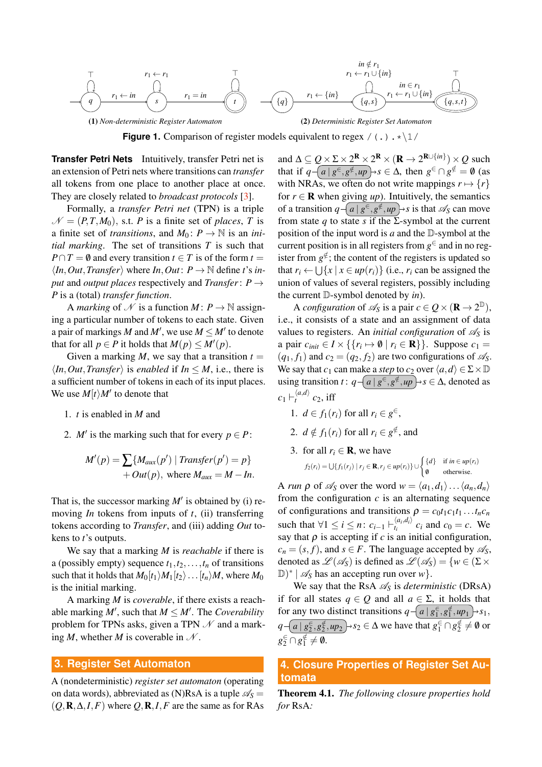<span id="page-2-0"></span>

**Figure 1.** Comparison of register models equivalent to regex  $/( \cdot ) \cdot \cdot \cdot 1/$ 

**Transfer Petri Nets** Intuitively, transfer Petri net is an extension of Petri nets where transitions can *transfer* all tokens from one place to another place at once. They are closely related to *broadcast protocols* [\[3\]](#page-5-2).

Formally, a *transfer Petri net* (TPN) is a triple  $\mathcal{N} = (P, T, M_0)$ , s.t. *P* is a finite set of *places*, *T* is a finite set of *transitions*, and  $M_0: P \to \mathbb{N}$  is an *initial marking*. The set of transitions *T* is such that  $P \cap T = \emptyset$  and every transition  $t \in T$  is of the form  $t =$  $\langle In, Out, Transfer \rangle$  where  $In, Out: P \rightarrow \mathbb{N}$  define *t*'s *input* and *output places* respectively and *Transfer*: *P* → *P* is a (total) *transfer function*.

A *marking* of N is a function  $M: P \to \mathbb{N}$  assigning a particular number of tokens to each state. Given a pair of markings *M* and *M'*, we use  $M \leq M'$  to denote that for all  $p \in P$  it holds that  $M(p) \leq M'(p)$ .

Given a marking  $M$ , we say that a transition  $t =$  $\langle In, Out, Transfer \rangle$  is *enabled* if  $In \leq M$ , i.e., there is a sufficient number of tokens in each of its input places. We use  $M[t\rangle M'$  to denote that

- 1. *t* is enabled in *M* and
- 2. *M'* is the marking such that for every  $p \in P$ :

$$
M'(p) = \sum \{ M_{aux}(p') \mid Transfer(p') = p \}
$$
  
+  $Out(p)$ , where  $M_{aux} = M - In$ .

That is, the successor marking  $M'$  is obtained by (i) removing *In* tokens from inputs of *t*, (ii) transferring tokens according to *Transfer*, and (iii) adding *Out* tokens to *t*'s outputs.

We say that a marking *M* is *reachable* if there is a (possibly empty) sequence  $t_1, t_2, \ldots, t_n$  of transitions such that it holds that  $M_0[t_1/M_1[t_2)...[t_n/M]$ , where  $M_0$ is the initial marking.

A marking *M* is *coverable*, if there exists a reachable marking  $M'$ , such that  $M \leq M'$ . The *Coverability* problem for TPNs asks, given a TPN  $\mathcal N$  and a marking *M*, whether *M* is coverable in  $N$ .

#### **3. Register Set Automaton**

A (nondeterministic) *register set automaton* (operating on data words), abbreviated as (N)RsA is a tuple  $\mathcal{A}_s$  =  $(Q, \mathbf{R}, \Delta, I, F)$  where  $Q, \mathbf{R}, I, F$  are the same as for RAs

and  $\Delta \subseteq Q \times \Sigma \times 2^{\mathbf{R}} \times 2^{\mathbf{R}} \times (\mathbf{R} \to 2^{\mathbf{R} \cup \{in\}}) \times Q$  such that if  $q - \left( \frac{a}{g^{\epsilon}, g^{\notin}}, \frac{u}{g} \right) \rightarrow s \in \Delta$ , then  $g^{\epsilon} \cap g^{\notin} = \emptyset$  (as with NRAs, we often do not write mappings  $r \mapsto \{r\}$ for  $r \in \mathbf{R}$  when giving *up*). Intuitively, the semantics of a transition  $q - \left( a \mid g^{\in}, g^{\notin}, up \right) \rightarrow s$  is that  $\mathscr{A}_{S}$  can move from state *q* to state *s* if the  $\Sigma$ -symbol at the current position of the input word is *a* and the D-symbol at the current position is in all registers from  $g^{\in}$  and in no register from  $g^{\notin}$ ; the content of the registers is updated so that  $r_i \leftarrow \bigcup \{x \mid x \in up(r_i)\}$  (i.e.,  $r_i$  can be assigned the union of values of several registers, possibly including the current D-symbol denoted by *in*).

A *configuration* of  $\mathscr{A}_S$  is a pair  $c \in Q \times (\mathbf{R} \to 2^{\mathbb{D}})$ , i.e., it consists of a state and an assignment of data values to registers. An *initial configuration* of  $\mathscr{A}_S$  is a pair  $c_{\text{init}} \in I \times \{\{r_i \mapsto \emptyset \mid r_i \in \mathbf{R}\}\}\.$  Suppose  $c_1 =$  $(q_1, f_1)$  and  $c_2 = (q_2, f_2)$  are two configurations of  $\mathscr{A}_{S}$ . We say that *c*<sub>1</sub> can make a *step* to *c*<sub>2</sub> over  $\langle a, d \rangle \in \Sigma \times \mathbb{D}$ using transition *t* :  $q$  −  $\left( a \mid g^{\in}, g^{\notin}, up \right) \rightarrow s \in \Delta$ , denoted as  $c_1 \vdash_t^{\langle a,d\rangle} c_2$ , iff

- 1.  $d \in f_1(r_i)$  for all  $r_i \in g^{\in}$ ,
- 2.  $d \notin f_1(r_i)$  for all  $r_i \in g^{\notin}$ , and
- 3. for all  $r_i \in \mathbf{R}$ , we have  $f_2(r_i) = \bigcup \{ f_1(r_j) \mid r_j \in \mathbf{R}, r_j \in up(r_i) \} \cup \left\{ \begin{matrix} \{d\} & \text{if } m \in up(r_i) \\ a & \text{if } m_i \in up(r_i) \end{matrix} \right\}$ /0 otherwise.

A *run*  $\rho$  of  $\mathscr{A}_S$  over the word  $w = \langle a_1, d_1 \rangle \dots \langle a_n, d_n \rangle$ from the configuration  $c$  is an alternating sequence of configurations and transitions  $\rho = c_0 t_1 c_1 t_1 \dots t_n c_n$ such that  $\forall 1 \leq i \leq n$ :  $c_{i-1} \vdash_{t_i}^{\langle a_i, d_i \rangle}$  $\int_{t_i}^{\langle a_i, a_i \rangle} c_i$  and  $c_0 = c$ . We say that  $\rho$  is accepting if  $c$  is an initial configuration,  $c_n = (s, f)$ , and  $s \in F$ . The language accepted by  $\mathcal{A}_S$ , denoted as  $\mathscr{L}(\mathscr{A}_S)$  is defined as  $\mathscr{L}(\mathscr{A}_S) = \{w \in (\Sigma \times$  $\mathbb{D})^*$  |  $\mathscr{A}_S$  has an accepting run over *w*}.

We say that the RsA  $\mathcal{A}_s$  is *deterministic* (DRsA) if for all states  $q \in Q$  and all  $a \in \Sigma$ , it holds that for any two distinct transitions  $q - \left( a \mid g_1^{\epsilon}, g_1^{\epsilon}, \mu p_1 \right)$  >  $s_1$ ,  $q - \left( \frac{a \mid g_2^{\infty}, g_2^{\notin}}{2}, \frac{u p_2}{2} \right) \rightarrow s_2 \in \Delta$  we have that  $g_1^{\in} \cap g_2^{\notin} \neq \emptyset$  or  $g_2^{\in} \cap g_1^{\notin} \neq \emptyset.$ 

# **4. Closure Properties of Register Set Automata**

Theorem 4.1. *The following closure properties hold for* RsA*:*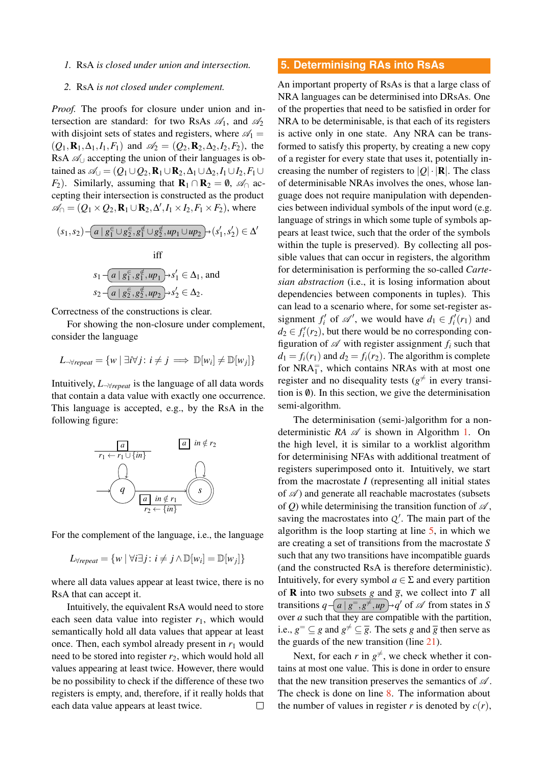### *1.* RsA *is closed under union and intersection.*

#### *2.* RsA *is not closed under complement.*

*Proof.* The proofs for closure under union and intersection are standard: for two RsAs  $\mathcal{A}_1$ , and  $\mathcal{A}_2$ with disjoint sets of states and registers, where  $\mathcal{A}_1 =$  $(Q_1, \mathbf{R}_1, \Delta_1, I_1, F_1)$  and  $\mathcal{A}_2 = (Q_2, \mathbf{R}_2, \Delta_2, I_2, F_2)$ , the RsA  $\mathcal{A}_{\cup}$  accepting the union of their languages is obtained as  $\mathcal{A}_{\cup} = (Q_1 \cup Q_2, \mathbf{R}_1 \cup \mathbf{R}_2, \Delta_1 \cup \Delta_2, I_1 \cup I_2, F_1 \cup$ *F*<sub>2</sub>). Similarly, assuming that  $\mathbf{R}_1 \cap \mathbf{R}_2 = \emptyset$ ,  $\mathcal{A}_0$  accepting their intersection is constructed as the product  $\mathscr{A}_{\cap} = (Q_1 \times Q_2, \mathbf{R}_1 \cup \mathbf{R}_2, \Delta', I_1 \times I_2, F_1 \times F_2)$ , where

$$
(s_1, s_2) - \underbrace{(a \mid g_1^{\in} \cup g_2^{\in}, g_1^{\notin} \cup g_2^{\notin}, up_1 \cup up_2)}_{\text{iff}}
$$
\n
$$
s_1 - \underbrace{(a \mid g_1^{\in}, g_1^{\notin}, up_1)}_{\text{arg}} \to s_1' \in \Delta_1, \text{ and}
$$
\n
$$
s_2 - \underbrace{(a \mid g_2^{\in}, g_2^{\notin}, up_2)}_{\text{arg}} \to s_2' \in \Delta_2.
$$

Correctness of the constructions is clear.

For showing the non-closure under complement, consider the language

$$
L_{\neg \forall repeat} = \{ w \mid \exists i \forall j : i \neq j \implies \mathbb{D}[w_i] \neq \mathbb{D}[w_j] \}
$$

Intuitively, *L*¬∀*repeat* is the language of all data words that contain a data value with exactly one occurrence. This language is accepted, e.g., by the RsA in the following figure:



For the complement of the language, i.e., the language

$$
L_{\forall repeat} = \{ w \mid \forall i \exists j \colon i \neq j \land \mathbb{D}[w_i] = \mathbb{D}[w_j] \}
$$

where all data values appear at least twice, there is no RsA that can accept it.

Intuitively, the equivalent RsA would need to store each seen data value into register  $r_1$ , which would semantically hold all data values that appear at least once. Then, each symbol already present in  $r_1$  would need to be stored into register  $r_2$ , which would hold all values appearing at least twice. However, there would be no possibility to check if the difference of these two registers is empty, and, therefore, if it really holds that each data value appears at least twice.  $\Box$ 

#### **5. Determinising RAs into RsAs**

An important property of RsAs is that a large class of NRA languages can be determinised into DRsAs. One of the properties that need to be satisfied in order for NRA to be determinisable, is that each of its registers is active only in one state. Any NRA can be transformed to satisfy this property, by creating a new copy of a register for every state that uses it, potentially increasing the number of registers to  $|Q| \cdot |R|$ . The class of determinisable NRAs involves the ones, whose language does not require manipulation with dependencies between individual symbols of the input word (e.g. language of strings in which some tuple of symbols appears at least twice, such that the order of the symbols within the tuple is preserved). By collecting all possible values that can occur in registers, the algorithm for determinisation is performing the so-called *Cartesian abstraction* (i.e., it is losing information about dependencies between components in tuples). This can lead to a scenario where, for some set-register assignment  $f_i'$  of  $\mathcal{A}'$ , we would have  $d_1 \in f_i'(r_1)$  and  $d_2 \in f'_i(r_2)$ , but there would be no corresponding configuration of  $\mathscr A$  with register assignment  $f_i$  such that  $d_1 = f_i(r_1)$  and  $d_2 = f_i(r_2)$ . The algorithm is complete for  $NRA<sub>1</sub><sup>+</sup>$ , which contains NRAs with at most one register and no disequality tests ( $g^{\neq}$  in every transition is  $\emptyset$ ). In this section, we give the determinisation semi-algorithm.

The determinisation (semi-)algorithm for a nondeterministic *RA*  $\mathscr A$  is shown in Algorithm [1.](#page-4-0) On the high level, it is similar to a worklist algorithm for determinising NFAs with additional treatment of registers superimposed onto it. Intuitively, we start from the macrostate *I* (representing all initial states of  $\mathscr A$ ) and generate all reachable macrostates (subsets of *Q*) while determinising the transition function of  $\mathcal{A}$ , saving the macrostates into  $Q'$ . The main part of the algorithm is the loop starting at line [5,](#page-4-1) in which we are creating a set of transitions from the macrostate *S* such that any two transitions have incompatible guards (and the constructed RsA is therefore deterministic). Intuitively, for every symbol  $a \in \Sigma$  and every partition of **R** into two subsets *g* and  $\overline{g}$ , we collect into *T* all transitions  $q - \left( \frac{a}{g} \right| g^{\dagger}, \frac{g^{\dagger}}{g^{\dagger}} \right)$  of  $\mathscr A$  from states in *S* over *a* such that they are compatible with the partition, i.e.,  $g^{\equiv} \subseteq g$  and  $g^{\neq} \subseteq \overline{g}$ . The sets *g* and  $\overline{g}$  then serve as the guards of the new transition (line [21\)](#page-4-2).

Next, for each *r* in  $g^{\neq}$ , we check whether it contains at most one value. This is done in order to ensure that the new transition preserves the semantics of  $\mathscr A$ . The check is done on line [8.](#page-4-3) The information about the number of values in register *r* is denoted by  $c(r)$ ,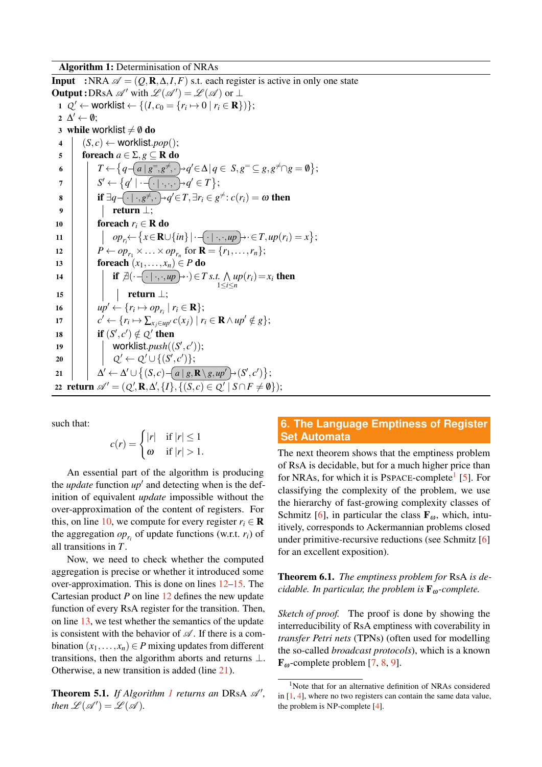Algorithm 1: Determinisation of NRAs

<span id="page-4-5"></span><span id="page-4-4"></span><span id="page-4-3"></span><span id="page-4-1"></span><span id="page-4-0"></span>**Input** :NRA  $\mathscr{A} = (Q, \mathbf{R}, \Delta, I, F)$  s.t. each register is active in only one state **Output :** DRsA  $\mathscr{A}'$  with  $\mathscr{L}(\mathscr{A}') = \mathscr{L}(\mathscr{A})$  or  $\perp$ 1  $Q' \leftarrow$  worklist  $\leftarrow \{(I, c_0 = \{r_i \mapsto 0 \mid r_i \in \mathbf{R}\})\};$  $2 \Delta' \leftarrow \emptyset;$ 3 while worklist  $\neq \emptyset$  do  $4 \mid (S, c) \leftarrow$  worklist.*pop*(); 5 foreach  $a \in \Sigma$ ,  $g \subset \mathbf{R}$  do  $\mathfrak{g} \quad \Big| \qquad T \leftarrow \big\{ q - \big\{ a \mid g^= , g^{\neq}, \cdot \big\} \cdot q' \! \in \! \Delta \! \mid \! q \in \, S, g^= \ \subseteq \, g, g^{\neq} \! \cap \! g = \emptyset \big\} ;$  $\sigma \quad | \quad \quad \mid \quad S' \leftarrow \big\{ q' \mid \cdot \neg \overline{\cdot \mid \cdot, \cdot, \cdot \} \, \neg q' \in T \big\};$ **8** if  $\exists q$   $\overline{\cdot}$   $\cdot \cdot$  *,g*<sup> $\neq$ </sup>,  $\cdot$   $\rightarrow$  *q* $\prime$   $\in$  *T*,  $\exists r_i \in$  *g* $\neq$  *: c*(*r<sub>i</sub>*) =  $\omega$  then 9 | | | return ⊥; 10 **for each**  $r_i \in \mathbf{R}$  do <sup>11</sup> *opri*← *x*∈R∪{*in*}|· · | ·,·,*up* ·∈*T*,*up*(*ri*) = *x* ; 12  $\vert P \leftarrow op_{r_1} \times ... \times op_{r_n}$  for  $\mathbf{R} = \{r_1, ..., r_n\};$ 13 **foreach**  $(x_1, \ldots, x_n) \in P$  do 14 **if**  $\exists(\cdot$   $\cdot$   $|\cdot$   $\cdot$ ,  $\cdot$ ,  $up$   $\}$   $\cdot$   $\rangle$   $\in$  *T s.t.*  $\wedge$  $\lim_{1 \le i \le n} \ln(r_i) = x_i$  then  $15$  | | | return  $\perp$ ; 16  $\vert \quad \vert \quad up' \leftarrow \{r_i \mapsto op_{r_i} \mid r_i \in \mathbf{R}\};$ 17  $\left| \quad c' \leftarrow \{r_i \mapsto \sum_{x_j \in up'} c(x_j) \mid r_i \in \mathbf{R} \wedge up' \notin g\};\right.$ 18 **if**  $(S', c') \notin Q'$  then 19 | worklist.push((S', c'));  $\begin{array}{|c|c|c|}\hline \rule{0pt}{16pt}\quad & \quad\quad & \mathcal{Q}' \leftarrow \mathcal{Q}' \cup \{(S',c')\}; \end{array}$ 21 ∆ ′ ← ∆ ′ ∪ (*S*, *c*) *a* | *g*,R\ *g*,*up*′ (*S* ′ , *c* ′ ) ; 22 return  $\mathscr{A}' = (Q', \mathbf{R}, \Delta', \{I\}, \{(S, c) \in Q' \mid S \cap F \neq \emptyset\})$ ;

<span id="page-4-7"></span>such that:

<span id="page-4-6"></span><span id="page-4-2"></span>
$$
c(r) = \begin{cases} |r| & \text{if } |r| \le 1\\ \omega & \text{if } |r| > 1. \end{cases}
$$

An essential part of the algorithm is producing the *update* function *up*′ and detecting when is the definition of equivalent *update* impossible without the over-approximation of the content of registers. For this, on line [10,](#page-4-4) we compute for every register  $r_i \in \mathbf{R}$ the aggregation  $op_{r_i}$  of update functions (w.r.t.  $r_i$ ) of all transitions in *T*.

Now, we need to check whether the computed aggregation is precise or whether it introduced some over-approximation. This is done on lines [12](#page-4-5)[–15.](#page-4-6) The Cartesian product *P* on line [12](#page-4-5) defines the new update function of every RsA register for the transition. Then, on line [13,](#page-4-7) we test whether the semantics of the update is consistent with the behavior of  $\mathscr A$ . If there is a combination  $(x_1, \ldots, x_n) \in P$  mixing updates from different transitions, then the algorithm aborts and returns ⊥. Otherwise, a new transition is added (line [21\)](#page-4-2).

**Theorem 5.[1](#page-4-0).** If Algorithm 1 returns an DRsA  $\mathcal{A}'$ , *then*  $\mathscr{L}(\mathscr{A}') = \mathscr{L}(\mathscr{A})$ *.* 

# **6. The Language Emptiness of Register Set Automata**

The next theorem shows that the emptiness problem of RsA is decidable, but for a much higher price than for NRAs, for which it is PSPACE-complete<sup>[1](#page-4-8)</sup> [\[5\]](#page-6-0). For classifying the complexity of the problem, we use the hierarchy of fast-growing complexity classes of Schmitz [\[6\]](#page-6-1), in particular the class  $\mathbf{F}_{\omega}$ , which, intuitively, corresponds to Ackermannian problems closed under primitive-recursive reductions (see Schmitz [\[6\]](#page-6-1) for an excellent exposition).

Theorem 6.1. *The emptiness problem for* RsA *is decidable. In particular, the problem is*  $\mathbf{F}_{\omega}$ -*complete.* 

*Sketch of proof.* The proof is done by showing the interreducibility of RsA emptiness with coverability in *transfer Petri nets* (TPNs) (often used for modelling the so-called *broadcast protocols*), which is a known  $\mathbf{F}_{\omega}$ -complete problem [\[7,](#page-6-2) [8,](#page-6-3) [9\]](#page-6-4).

<span id="page-4-8"></span><sup>&</sup>lt;sup>1</sup>Note that for an alternative definition of NRAs considered in [\[1,](#page-5-0) [4\]](#page-6-5), where no two registers can contain the same data value, the problem is NP-complete [\[4\]](#page-6-5).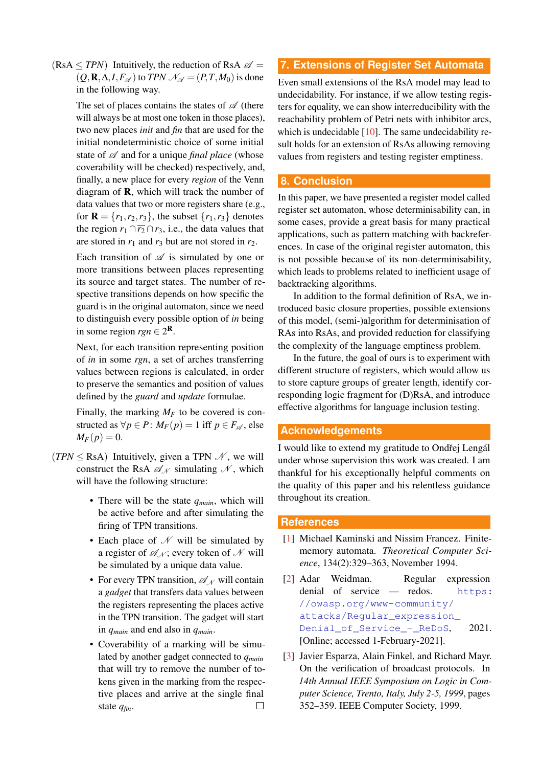$(RsA \leq TPN)$  Intuitively, the reduction of RsA  $\mathscr{A}$  =  $(Q, \mathbf{R}, \Delta, I, F_{\mathscr{A}})$  to *TPN*  $\mathscr{N}_{\mathscr{A}} = (P, T, M_0)$  is done in the following way.

> The set of places contains the states of  $\mathscr A$  (there will always be at most one token in those places), two new places *init* and *fin* that are used for the initial nondeterministic choice of some initial state of  $\mathscr A$  and for a unique *final place* (whose coverability will be checked) respectively, and, finally, a new place for every *region* of the Venn diagram of  $\bf{R}$ , which will track the number of data values that two or more registers share (e.g., for  $\mathbf{R} = \{r_1, r_2, r_3\}$ , the subset  $\{r_1, r_3\}$  denotes the region  $r_1 \cap \overline{r_2} \cap r_3$ , i.e., the data values that are stored in  $r_1$  and  $r_3$  but are not stored in  $r_2$ .

> Each transition of  $\mathscr A$  is simulated by one or more transitions between places representing its source and target states. The number of respective transitions depends on how specific the guard is in the original automaton, since we need to distinguish every possible option of *in* being in some region  $rgn \in 2^{\mathbf{R}}$ .

> Next, for each transition representing position of *in* in some *rgn*, a set of arches transferring values between regions is calculated, in order to preserve the semantics and position of values defined by the *guard* and *update* formulae.

> Finally, the marking  $M_F$  to be covered is constructed as  $\forall p \in P$ :  $M_F(p) = 1$  iff  $p \in F_A$ , else  $M_F(p) = 0.$

- $(TPN \leq$ RsA) Intuitively, given a TPN  $\mathcal{N}$ , we will construct the RsA  $\mathscr{A}_N$  simulating  $\mathscr{N}$ , which will have the following structure:
	- There will be the state *qmain*, which will be active before and after simulating the firing of TPN transitions.
	- Each place of  $N$  will be simulated by a register of  $\mathcal{A}_N$ ; every token of N will be simulated by a unique data value.
	- For every TPN transition,  $\mathscr{A}_{\mathscr{N}}$  will contain a *gadget* that transfers data values between the registers representing the places active in the TPN transition. The gadget will start in *qmain* and end also in *qmain*.
	- Coverability of a marking will be simulated by another gadget connected to *qmain* that will try to remove the number of tokens given in the marking from the respective places and arrive at the single final  $\Box$ state *qfin*.

# **7. Extensions of Register Set Automata**

Even small extensions of the RsA model may lead to undecidability. For instance, if we allow testing registers for equality, we can show interreducibility with the reachability problem of Petri nets with inhibitor arcs, which is undecidable  $[10]$ . The same undecidability result holds for an extension of RsAs allowing removing values from registers and testing register emptiness.

## **8. Conclusion**

In this paper, we have presented a register model called register set automaton, whose determinisability can, in some cases, provide a great basis for many practical applications, such as pattern matching with backreferences. In case of the original register automaton, this is not possible because of its non-determinisability, which leads to problems related to inefficient usage of backtracking algorithms.

In addition to the formal definition of RsA, we introduced basic closure properties, possible extensions of this model, (semi-)algorithm for determinisation of RAs into RsAs, and provided reduction for classifying the complexity of the language emptiness problem.

In the future, the goal of ours is to experiment with different structure of registers, which would allow us to store capture groups of greater length, identify corresponding logic fragment for (D)RsA, and introduce effective algorithms for language inclusion testing.

## **Acknowledgements**

I would like to extend my gratitude to Ondřej Lengál under whose supervision this work was created. I am thankful for his exceptionally helpful comments on the quality of this paper and his relentless guidance throughout its creation.

## **References**

- <span id="page-5-0"></span>[1] Michael Kaminski and Nissim Francez. Finitememory automata. *Theoretical Computer Science*, 134(2):329–363, November 1994.
- <span id="page-5-1"></span>[2] Adar Weidman. Regular expression denial of service — redos. [https:](https://owasp.org/www-community/attacks/Regular_expression_Denial_of_Service_-_ReDoS) [//owasp.org/www-community/](https://owasp.org/www-community/attacks/Regular_expression_Denial_of_Service_-_ReDoS) [attacks/Regular\\_expression\\_](https://owasp.org/www-community/attacks/Regular_expression_Denial_of_Service_-_ReDoS) [Denial\\_of\\_Service\\_-\\_ReDoS](https://owasp.org/www-community/attacks/Regular_expression_Denial_of_Service_-_ReDoS), 2021. [Online; accessed 1-February-2021].
- <span id="page-5-2"></span>[3] Javier Esparza, Alain Finkel, and Richard Mayr. On the verification of broadcast protocols. In *14th Annual IEEE Symposium on Logic in Computer Science, Trento, Italy, July 2-5, 1999*, pages 352–359. IEEE Computer Society, 1999.